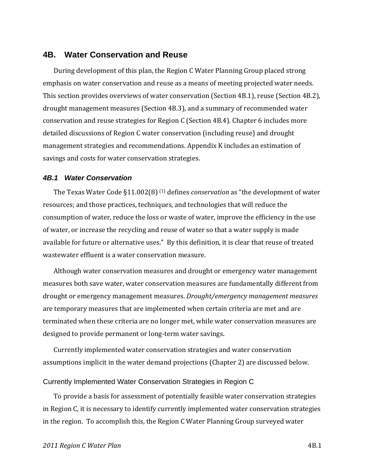## **4B. Water Conservation and Reuse**

During development of this plan, the Region C Water Planning Group placed strong emphasis on water conservation and reuse as a means of meeting projected water needs. This section provides overviews of water conservation (Section 4B.1), reuse (Section 4B.2), drought management measures (Section 4B.3), and a summary of recommended water conservation and reuse strategies for Region C (Section 4B.4). Chapter 6 includes more detailed discussions of Region C water conservation (including reuse) and drought management strategies and recommendations. Appendix K includes an estimation of savings and costs for water conservation strategies.

#### *4B.1 Water Conservation*

The Texas Water Code §11.002(8) (1) defines *conservation* as "the development of water resources; and those practices, techniques, and technologies that will reduce the consumption of water, reduce the loss or waste of water, improve the efficiency in the use of water, or increase the recycling and reuse of water so that a water supply is made available for future or alternative uses." By this definition, it is clear that reuse of treated wastewater effluent is a water conservation measure.

Although water conservation measures and drought or emergency water management measures both save water, water conservation measures are fundamentally different from drought or emergency management measures. *Drought/emergency management measures* are temporary measures that are implemented when certain criteria are met and are terminated when these criteria are no longer met, while water conservation measures are designed to provide permanent or long‐term water savings.

Currently implemented water conservation strategies and water conservation assumptions implicit in the water demand projections (Chapter 2) are discussed below.

#### Currently Implemented Water Conservation Strategies in Region C

To provide a basis for assessment of potentially feasible water conservation strategies in Region C, it is necessary to identify currently implemented water conservation strategies in the region. To accomplish this, the Region C Water Planning Group surveyed water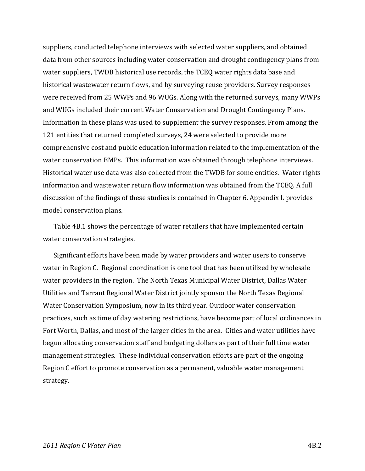suppliers, conducted telephone interviews with selected water suppliers, and obtained data from other sources including water conservation and drought contingency plans from water suppliers, TWDB historical use records, the TCEQ water rights data base and historical wastewater return flows, and by surveying reuse providers. Survey responses were received from 25 WWPs and 96 WUGs. Along with the returned surveys, many WWPs and WUGs included their current Water Conservation and Drought Contingency Plans. Information in these plans was used to supplement the survey responses. From among the 121 entities that returned completed surveys, 24 were selected to provide more comprehensive cost and public education information related to the implementation of the water conservation BMPs. This information was obtained through telephone interviews. Historical water use data was also collected from the TWDB for some entities. Water rights information and wastewater return flow information was obtained from the TCEQ. A full discussion of the findings of these studies is contained in Chapter 6. Appendix L provides model conservation plans.

Table 4B.1 shows the percentage of water retailers that have implemented certain water conservation strategies.

Significant efforts have been made by water providers and water users to conserve water in Region C. Regional coordination is one tool that has been utilized by wholesale water providers in the region. The North Texas Municipal Water District, Dallas Water Utilities and Tarrant Regional Water District jointly sponsor the North Texas Regional Water Conservation Symposium, now in its third year. Outdoor water conservation practices, such as time of day watering restrictions, have become part of local ordinances in Fort Worth, Dallas, and most of the larger cities in the area. Cities and water utilities have begun allocating conservation staff and budgeting dollars as part of their full time water management strategies. These individual conservation efforts are part of the ongoing Region C effort to promote conservation as a permanent, valuable water management strategy.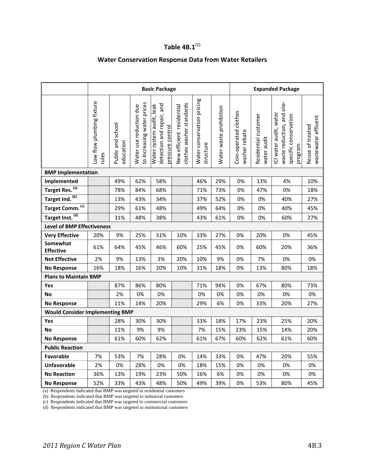# **Table 4B.1**(2)

## **Water Conservation Response Data from Water Retailers**

|                                        | <b>Basic Package</b>               |                                |                                                       |                                                                           |                                                       | <b>Expanded Package</b>                 |                         |                                        |                                     |                                                                                          |                                         |
|----------------------------------------|------------------------------------|--------------------------------|-------------------------------------------------------|---------------------------------------------------------------------------|-------------------------------------------------------|-----------------------------------------|-------------------------|----------------------------------------|-------------------------------------|------------------------------------------------------------------------------------------|-----------------------------------------|
|                                        | Low flow plumbing fixture<br>rules | Public and school<br>education | to Increasing water prices<br>Water use reduction due | detection and repair, and<br>Water system audit, leak<br>pressure control | clothes washer standards<br>New efficient residential | Water conservation pricing<br>structure | Water waste prohibition | Coin-operated clothes<br>washer rebate | Residential customer<br>water audit | waste reduction, and site-<br>ICI water audit, water<br>specific conservation<br>program | wastewater effluent<br>Reuse of treated |
| <b>BMP Implementation</b>              |                                    |                                |                                                       |                                                                           |                                                       |                                         |                         |                                        |                                     |                                                                                          |                                         |
| Implemented                            |                                    | 49%                            | 62%                                                   | 58%                                                                       |                                                       | 46%                                     | 29%                     | 0%                                     | 13%                                 | 4%                                                                                       | 10%                                     |
| Target Res. (a)                        |                                    | 78%                            | 84%                                                   | 68%                                                                       |                                                       | 71%                                     | 73%                     | 0%                                     | 47%                                 | 0%                                                                                       | 18%                                     |
| Target Ind. (b)                        |                                    | 13%                            | 43%                                                   | 34%                                                                       |                                                       | 37%                                     | 52%                     | 0%                                     | 0%                                  | 40%                                                                                      | 27%                                     |
| Target Comm. <sup>(c)</sup>            |                                    | 29%                            | 61%                                                   | 48%                                                                       |                                                       | 49%                                     | 64%                     | 0%                                     | 0%                                  | 40%                                                                                      | 45%                                     |
| Target Inst. (d)                       |                                    | 31%                            | 48%                                                   | 38%                                                                       |                                                       | 43%                                     | 61%                     | 0%                                     | 0%                                  | 60%                                                                                      | 27%                                     |
| <b>Level of BMP Effectiveness</b>      |                                    |                                |                                                       |                                                                           |                                                       |                                         |                         |                                        |                                     |                                                                                          |                                         |
| <b>Very Effective</b>                  | 20%                                | 9%                             | 25%                                                   | 31%                                                                       | 10%                                                   | 33%                                     | 27%                     | 0%                                     | 20%                                 | 0%                                                                                       | 45%                                     |
| Somewhat<br><b>Effective</b>           | 61%                                | 64%                            | 45%                                                   | 46%                                                                       | 60%                                                   | 25%                                     | 45%                     | 0%                                     | 60%                                 | 20%                                                                                      | 36%                                     |
| <b>Not Effective</b>                   | 2%                                 | 9%                             | 13%                                                   | 3%                                                                        | 20%                                                   | 10%                                     | 9%                      | 0%                                     | 7%                                  | 0%                                                                                       | 0%                                      |
| <b>No Response</b>                     | 16%                                | 18%                            | 16%                                                   | 20%                                                                       | 10%                                                   | 31%                                     | 18%                     | 0%                                     | 13%                                 | 80%                                                                                      | 18%                                     |
| <b>Plans to Maintain BMP</b>           |                                    |                                |                                                       |                                                                           |                                                       |                                         |                         |                                        |                                     |                                                                                          |                                         |
| Yes                                    |                                    | 87%                            | 86%                                                   | 80%                                                                       |                                                       | 71%                                     | 94%                     | 0%                                     | 67%                                 | 80%                                                                                      | 73%                                     |
| No                                     |                                    | 2%                             | 0%                                                    | 0%                                                                        |                                                       | 0%                                      | 0%                      | 0%                                     | 0%                                  | 0%                                                                                       | 0%                                      |
| <b>No Response</b>                     |                                    | 11%                            | 14%                                                   | 20%                                                                       |                                                       | 29%                                     | 6%                      | 0%                                     | 33%                                 | 20%                                                                                      | 27%                                     |
| <b>Would Consider Implementing BMP</b> |                                    |                                |                                                       |                                                                           |                                                       |                                         |                         |                                        |                                     |                                                                                          |                                         |
| Yes                                    |                                    | 28%                            | 30%                                                   | 30%                                                                       |                                                       | 33%                                     | 18%                     | 17%                                    | 23%                                 | 25%                                                                                      | 20%                                     |
| No                                     |                                    | 11%                            | 9%                                                    | 9%                                                                        |                                                       | 7%                                      | 15%                     | 23%                                    | 15%                                 | 14%                                                                                      | 20%                                     |
| <b>No Response</b>                     |                                    | 61%                            | 60%                                                   | 62%                                                                       |                                                       | 61%                                     | 67%                     | 60%                                    | 62%                                 | 61%                                                                                      | 60%                                     |
| <b>Public Reaction</b>                 |                                    |                                |                                                       |                                                                           |                                                       |                                         |                         |                                        |                                     |                                                                                          |                                         |
| Favorable                              | 7%                                 | 53%                            | 7%                                                    | 28%                                                                       | 0%                                                    | 14%                                     | 33%                     | 0%                                     | 47%                                 | 20%                                                                                      | 55%                                     |
| <b>Unfavorable</b>                     | 2%                                 | 0%                             | 28%                                                   | 0%                                                                        | 0%                                                    | 18%                                     | 15%                     | 0%                                     | 0%                                  | 0%                                                                                       | 0%                                      |
| <b>No Reaction</b>                     | 36%                                | 13%                            | 19%                                                   | 23%                                                                       | 50%                                                   | 16%                                     | 6%                      | 0%                                     | 0%                                  | 0%                                                                                       | 0%                                      |
| <b>No Response</b>                     | 52%                                | 33%                            | 43%                                                   | 48%                                                                       | 50%                                                   | 49%                                     | 39%                     | 0%                                     | 53%                                 | 80%                                                                                      | 45%                                     |

(a) Respondents indicated that BMP was targeted to residential customers

(b) Respondents indicated that BMP was targeted to industrial customers

(c) Respondents indicated that BMP was targeted to commercial customers

(d) Respondents indicated that BMP was targeted to institutional customers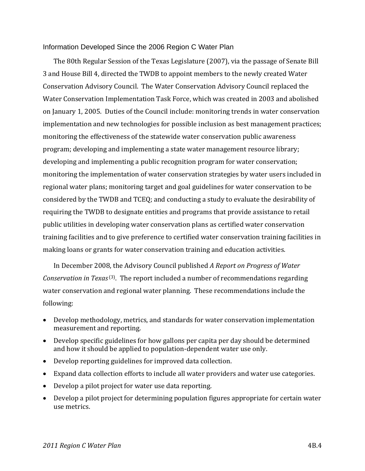#### Information Developed Since the 2006 Region C Water Plan

The 80th Regular Session of the Texas Legislature (2007), via the passage of Senate Bill 3 and House Bill 4, directed the TWDB to appoint members to the newly created Water Conservation Advisory Council. The Water Conservation Advisory Council replaced the Water Conservation Implementation Task Force, which was created in 2003 and abolished on January 1, 2005. Duties of the Council include: monitoring trends in water conservation implementation and new technologies for possible inclusion as best management practices; monitoring the effectiveness of the statewide water conservation public awareness program; developing and implementing a state water management resource library; developing and implementing a public recognition program for water conservation; monitoring the implementation of water conservation strategies by water users included in regional water plans; monitoring target and goal guidelines for water conservation to be considered by the TWDB and TCEQ; and conducting a study to evaluate the desirability of requiring the TWDB to designate entities and programs that provide assistance to retail public utilities in developing water conservation plans as certified water conservation training facilities and to give preference to certified water conservation training facilities in making loans or grants for water conservation training and education activities.

In December 2008, the Advisory Council published *A Report on Progress of Water Conservation in Texas* (3). The report included a number of recommendations regarding water conservation and regional water planning. These recommendations include the following:

- Develop methodology, metrics, and standards for water conservation implementation measurement and reporting.
- Develop specific guidelines for how gallons per capita per day should be determined and how it should be applied to population‐dependent water use only.
- Develop reporting guidelines for improved data collection.
- Expand data collection efforts to include all water providers and water use categories.
- Develop a pilot project for water use data reporting.
- Develop a pilot project for determining population figures appropriate for certain water use metrics.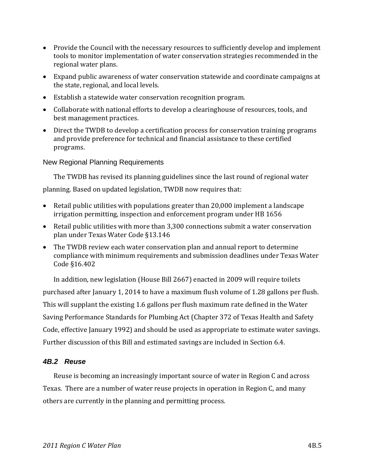- Provide the Council with the necessary resources to sufficiently develop and implement tools to monitor implementation of water conservation strategies recommended in the regional water plans.
- Expand public awareness of water conservation statewide and coordinate campaigns at the state, regional, and local levels.
- Establish a statewide water conservation recognition program.
- Collaborate with national efforts to develop a clearinghouse of resources, tools, and best management practices.
- Direct the TWDB to develop a certification process for conservation training programs and provide preference for technical and financial assistance to these certified programs.

#### New Regional Planning Requirements

The TWDB has revised its planning guidelines since the last round of regional water planning. Based on updated legislation, TWDB now requires that:

- Retail public utilities with populations greater than 20,000 implement a landscape irrigation permitting, inspection and enforcement program under HB 1656
- Retail public utilities with more than 3,300 connections submit a water conservation plan under Texas Water Code §13.146
- The TWDB review each water conservation plan and annual report to determine compliance with minimum requirements and submission deadlines under Texas Water Code §16.402

In addition, new legislation (House Bill 2667) enacted in 2009 will require toilets purchased after January 1, 2014 to have a maximum flush volume of 1.28 gallons per flush. This will supplant the existing 1.6 gallons per flush maximum rate defined in the Water Saving Performance Standards for Plumbing Act (Chapter 372 of Texas Health and Safety Code, effective January 1992) and should be used as appropriate to estimate water savings. Further discussion of this Bill and estimated savings are included in Section 6.4.

### *4B.2 Reuse*

Reuse is becoming an increasingly important source of water in Region C and across Texas. There are a number of water reuse projects in operation in Region C, and many others are currently in the planning and permitting process.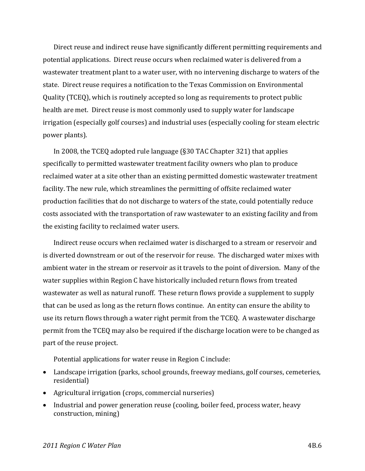Direct reuse and indirect reuse have significantly different permitting requirements and potential applications. Direct reuse occurs when reclaimed water is delivered from a wastewater treatment plant to a water user, with no intervening discharge to waters of the state. Direct reuse requires a notification to the Texas Commission on Environmental Quality (TCEQ), which is routinely accepted so long as requirements to protect public health are met. Direct reuse is most commonly used to supply water for landscape irrigation (especially golf courses) and industrial uses (especially cooling for steam electric power plants).

In 2008, the TCEQ adopted rule language (§30 TAC Chapter 321) that applies specifically to permitted wastewater treatment facility owners who plan to produce reclaimed water at a site other than an existing permitted domestic wastewater treatment facility. The new rule, which streamlines the permitting of offsite reclaimed water production facilities that do not discharge to waters of the state, could potentially reduce costs associated with the transportation of raw wastewater to an existing facility and from the existing facility to reclaimed water users.

Indirect reuse occurs when reclaimed water is discharged to a stream or reservoir and is diverted downstream or out of the reservoir for reuse. The discharged water mixes with ambient water in the stream or reservoir as it travels to the point of diversion. Many of the water supplies within Region C have historically included return flows from treated wastewater as well as natural runoff. These return flows provide a supplement to supply that can be used as long as the return flows continue. An entity can ensure the ability to use its return flows through a water right permit from the TCEQ. A wastewater discharge permit from the TCEQ may also be required if the discharge location were to be changed as part of the reuse project.

Potential applications for water reuse in Region C include:

- Landscape irrigation (parks, school grounds, freeway medians, golf courses, cemeteries, residential)
- Agricultural irrigation (crops, commercial nurseries)
- Industrial and power generation reuse (cooling, boiler feed, process water, heavy construction, mining)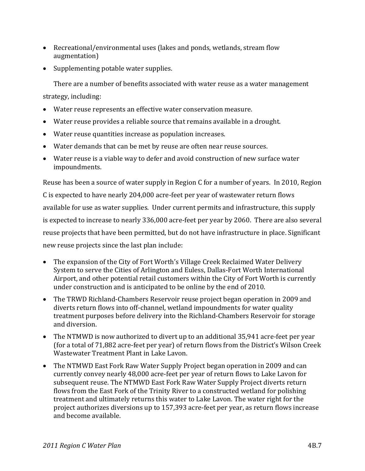- Recreational/environmental uses (lakes and ponds, wetlands, stream flow augmentation)
- Supplementing potable water supplies.

There are a number of benefits associated with water reuse as a water management

strategy, including:

- Water reuse represents an effective water conservation measure.
- Water reuse provides a reliable source that remains available in a drought.
- Water reuse quantities increase as population increases.
- Water demands that can be met by reuse are often near reuse sources.
- Water reuse is a viable way to defer and avoid construction of new surface water impoundments.

Reuse has been a source of water supply in Region C for a number of years. In 2010, Region

C is expected to have nearly 204,000 acre‐feet per year of wastewater return flows available for use as water supplies. Under current permits and infrastructure, this supply is expected to increase to nearly 336,000 acre‐feet per year by 2060. There are also several reuse projects that have been permitted, but do not have infrastructure in place. Significant new reuse projects since the last plan include:

- The expansion of the City of Fort Worth's Village Creek Reclaimed Water Delivery System to serve the Cities of Arlington and Euless, Dallas‐Fort Worth International Airport, and other potential retail customers within the City of Fort Worth is currently under construction and is anticipated to be online by the end of 2010.
- The TRWD Richland‐Chambers Reservoir reuse project began operation in 2009 and diverts return flows into off‐channel, wetland impoundments for water quality treatment purposes before delivery into the Richland‐Chambers Reservoir for storage and diversion.
- The NTMWD is now authorized to divert up to an additional 35,941 acre‐feet per year (for a total of 71,882 acre‐feet per year) of return flows from the District's Wilson Creek Wastewater Treatment Plant in Lake Lavon.
- The NTMWD East Fork Raw Water Supply Project began operation in 2009 and can currently convey nearly 48,000 acre‐feet per year of return flows to Lake Lavon for subsequent reuse. The NTMWD East Fork Raw Water Supply Project diverts return flows from the East Fork of the Trinity River to a constructed wetland for polishing treatment and ultimately returns this water to Lake Lavon. The water right for the project authorizes diversions up to 157,393 acre‐feet per year, as return flows increase and become available.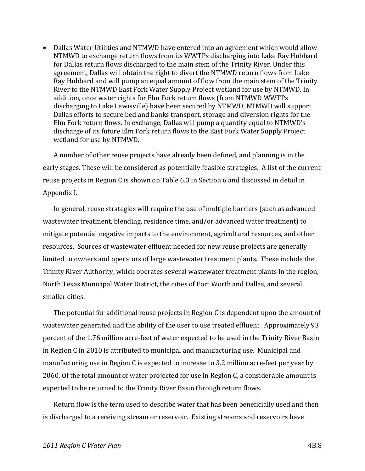Dallas Water Utilities and NTMWD have entered into an agreement which would allow NTMWD to exchange return flows from its WWTPs discharging into Lake Ray Hubbard for Dallas return flows discharged to the main stem of the Trinity River. Under this agreement, Dallas will obtain the right to divert the NTMWD return flows from Lake Ray Hubbard and will pump an equal amount of flow from the main stem of the Trinity River to the NTMWD East Fork Water Supply Project wetland for use by NTMWD. In addition, once water rights for Elm Fork return flows (from NTMWD WWTPs discharging to Lake Lewisville) have been secured by NTMWD, NTMWD will support Dallas efforts to secure bed and banks transport, storage and diversion rights for the Elm Fork return flows. In exchange, Dallas will pump a quantity equal to NTMWD's discharge of its future Elm Fork return flows to the East Fork Water Supply Project wetland for use by NTMWD.

A number of other reuse projects have already been defined, and planning is in the early stages. These will be considered as potentially feasible strategies. A list of the current reuse projects in Region C is shown on Table 6.3 in Section 6 and discussed in detail in Appendix I.

In general, reuse strategies will require the use of multiple barriers (such as advanced wastewater treatment, blending, residence time, and/or advanced water treatment) to mitigate potential negative impacts to the environment, agricultural resources, and other resources. Sources of wastewater effluent needed for new reuse projects are generally limited to owners and operators of large wastewater treatment plants. These include the Trinity River Authority, which operates several wastewater treatment plants in the region, North Texas Municipal Water District, the cities of Fort Worth and Dallas, and several smaller cities.

The potential for additional reuse projects in Region C is dependent upon the amount of wastewater generated and the ability of the user to use treated effluent. Approximately 93 percent of the 1.76 million acre‐feet of water expected to be used in the Trinity River Basin in Region C in 2010 is attributed to municipal and manufacturing use. Municipal and manufacturing use in Region C is expected to increase to 3.2 million acre‐feet per year by 2060. Of the total amount of water projected for use in Region C, a considerable amount is expected to be returned to the Trinity River Basin through return flows.

Return flow is the term used to describe water that has been beneficially used and then is discharged to a receiving stream or reservoir. Existing streams and reservoirs have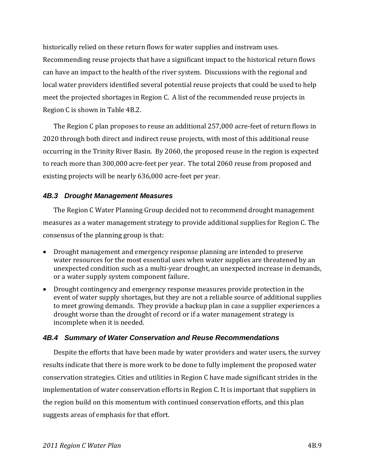historically relied on these return flows for water supplies and instream uses. Recommending reuse projects that have a significant impact to the historical return flows can have an impact to the health of the river system. Discussions with the regional and local water providers identified several potential reuse projects that could be used to help meet the projected shortages in Region C. A list of the recommended reuse projects in Region C is shown in Table 4B.2.

The Region C plan proposes to reuse an additional 257,000 acre‐feet of return flows in 2020 through both direct and indirect reuse projects, with most of this additional reuse occurring in the Trinity River Basin. By 2060, the proposed reuse in the region is expected to reach more than 300,000 acre‐feet per year. The total 2060 reuse from proposed and existing projects will be nearly 636,000 acre‐feet per year.

## *4B.3 Drought Management Measures*

The Region C Water Planning Group decided not to recommend drought management measures as a water management strategy to provide additional supplies for Region C. The consensus of the planning group is that:

- Drought management and emergency response planning are intended to preserve water resources for the most essential uses when water supplies are threatened by an unexpected condition such as a multi‐year drought, an unexpected increase in demands, or a water supply system component failure.
- Drought contingency and emergency response measures provide protection in the event of water supply shortages, but they are not a reliable source of additional supplies to meet growing demands. They provide a backup plan in case a supplier experiences a drought worse than the drought of record or if a water management strategy is incomplete when it is needed.

### *4B.4 Summary of Water Conservation and Reuse Recommendations*

Despite the efforts that have been made by water providers and water users, the survey results indicate that there is more work to be done to fully implement the proposed water conservation strategies. Cities and utilities in Region C have made significant strides in the implementation of water conservation efforts in Region C. It is important that suppliers in the region build on this momentum with continued conservation efforts, and this plan suggests areas of emphasis for that effort.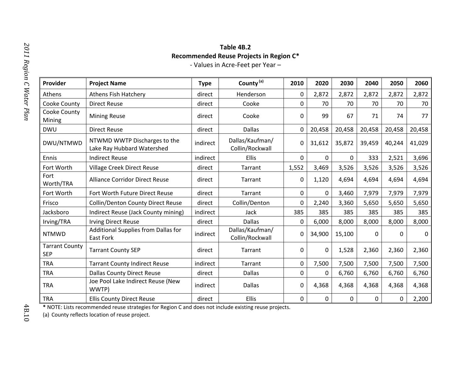# **Table 4B.2Recommended Reuse Projects in Region C\***

‐ Values in Acre‐Feet per Year –

| v<br>J<br>r n<br>111<br>h        |  |
|----------------------------------|--|
| Reg<br>$\ddot{\phantom{0}}$<br>š |  |
| C                                |  |
| TAT<br>$\tilde{z}$<br>αrε<br>757 |  |
| p<br>5                           |  |

| Provider                            | <b>Project Name</b>                                        | <b>Type</b> | County <sup>(a)</sup>              | 2010        | 2020        | 2030         | 2040   | 2050   | 2060        |
|-------------------------------------|------------------------------------------------------------|-------------|------------------------------------|-------------|-------------|--------------|--------|--------|-------------|
| Athens                              | <b>Athens Fish Hatchery</b>                                | direct      | Henderson                          | 0           | 2,872       | 2,872        | 2,872  | 2,872  | 2,872       |
| Cooke County                        | <b>Direct Reuse</b>                                        | direct      | Cooke                              | 0           | 70          | 70           | 70     | 70     | 70          |
| Cooke County<br>Mining              | <b>Mining Reuse</b>                                        | direct      | Cooke                              | 0           | 99          | 67           | 71     | 74     | 77          |
| <b>DWU</b>                          | <b>Direct Reuse</b>                                        | direct      | <b>Dallas</b>                      | 0           | 20,458      | 20,458       | 20,458 | 20,458 | 20,458      |
| DWU/NTMWD                           | NTWMD WWTP Discharges to the<br>Lake Ray Hubbard Watershed | indirect    | Dallas/Kaufman/<br>Collin/Rockwall | 0           | 31,612      | 35,872       | 39,459 | 40,244 | 41,029      |
| Ennis                               | <b>Indirect Reuse</b>                                      | indirect    | Ellis                              | $\Omega$    | $\Omega$    | $\mathbf{0}$ | 333    | 2,521  | 3,696       |
| Fort Worth                          | Village Creek Direct Reuse                                 | direct      | Tarrant                            | 1,552       | 3,469       | 3,526        | 3,526  | 3,526  | 3,526       |
| Fort<br>Worth/TRA                   | <b>Alliance Corridor Direct Reuse</b>                      | direct      | Tarrant                            | 0           | 1,120       | 4,694        | 4,694  | 4,694  | 4,694       |
| Fort Worth                          | Fort Worth Future Direct Reuse                             | direct      | Tarrant                            | $\mathbf 0$ | $\mathbf 0$ | 3,460        | 7,979  | 7,979  | 7,979       |
| Frisco                              | <b>Collin/Denton County Direct Reuse</b>                   | direct      | Collin/Denton                      | 0           | 2,240       | 3,360        | 5,650  | 5,650  | 5,650       |
| Jacksboro                           | Indirect Reuse (Jack County mining)                        | indirect    | Jack                               | 385         | 385         | 385          | 385    | 385    | 385         |
| Irving/TRA                          | <b>Irving Direct Reuse</b>                                 | direct      | <b>Dallas</b>                      | 0           | 6,000       | 8,000        | 8,000  | 8,000  | 8,000       |
| <b>NTMWD</b>                        | Additional Supplies from Dallas for<br><b>East Fork</b>    | indirect    | Dallas/Kaufman/<br>Collin/Rockwall | 0           | 34,900      | 15,100       | 0      | 0      | $\mathbf 0$ |
| <b>Tarrant County</b><br><b>SEP</b> | <b>Tarrant County SEP</b>                                  | direct      | Tarrant                            | 0           | $\mathbf 0$ | 1,528        | 2,360  | 2,360  | 2,360       |
| <b>TRA</b>                          | <b>Tarrant County Indirect Reuse</b>                       | indirect    | Tarrant                            | 0           | 7,500       | 7,500        | 7,500  | 7,500  | 7,500       |
| <b>TRA</b>                          | <b>Dallas County Direct Reuse</b>                          | direct      | <b>Dallas</b>                      | 0           | 0           | 6,760        | 6,760  | 6,760  | 6,760       |
| <b>TRA</b>                          | Joe Pool Lake Indirect Reuse (New<br>WWTP)                 | indirect    | <b>Dallas</b>                      | 0           | 4,368       | 4,368        | 4,368  | 4,368  | 4,368       |
| <b>TRA</b>                          | <b>Ellis County Direct Reuse</b>                           | direct      | Ellis                              | 0           | $\Omega$    | 0            | 0      | 0      | 2,200       |

**\*** NOTE: Lists recommended reuse strategies for Region C and does not include existing reuse projects.

(a) County reflects location of reuse project.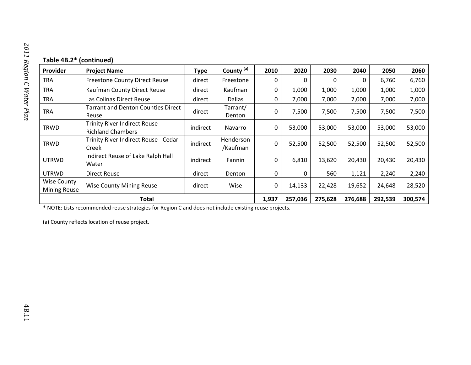| Provider                                  | <b>Project Name</b>                                        | <b>Type</b> | County <sup>(a)</sup> | 2010     | 2020    | 2030    | 2040    | 2050    | 2060    |
|-------------------------------------------|------------------------------------------------------------|-------------|-----------------------|----------|---------|---------|---------|---------|---------|
| <b>TRA</b>                                | <b>Freestone County Direct Reuse</b>                       | direct      | Freestone             | 0        | 0       | 0       | 0       | 6,760   | 6,760   |
| <b>TRA</b>                                | Kaufman County Direct Reuse                                | direct      | Kaufman               | 0        | 1,000   | 1,000   | 1,000   | 1,000   | 1,000   |
| <b>TRA</b>                                | Las Colinas Direct Reuse                                   | direct      | <b>Dallas</b>         | 0        | 7,000   | 7,000   | 7,000   | 7,000   | 7,000   |
| <b>TRA</b>                                | <b>Tarrant and Denton Counties Direct</b><br>Reuse         | direct      | Tarrant/<br>Denton    | 0        | 7,500   | 7,500   | 7,500   | 7,500   | 7,500   |
| <b>TRWD</b>                               | Trinity River Indirect Reuse -<br><b>Richland Chambers</b> | indirect    | Navarro               | $\Omega$ | 53,000  | 53,000  | 53,000  | 53,000  | 53,000  |
| <b>TRWD</b>                               | Trinity River Indirect Reuse - Cedar<br>Creek              | indirect    | Henderson<br>/Kaufman | $\Omega$ | 52,500  | 52,500  | 52,500  | 52,500  | 52,500  |
| <b>UTRWD</b>                              | Indirect Reuse of Lake Ralph Hall<br>Water                 | indirect    | Fannin                | $\Omega$ | 6,810   | 13,620  | 20,430  | 20,430  | 20,430  |
| <b>UTRWD</b>                              | <b>Direct Reuse</b>                                        | direct      | Denton                | 0        | 0       | 560     | 1,121   | 2,240   | 2,240   |
| <b>Wise County</b><br><b>Mining Reuse</b> | <b>Wise County Mining Reuse</b>                            | direct      | Wise                  | $\Omega$ | 14,133  | 22,428  | 19,652  | 24,648  | 28,520  |
| Total                                     |                                                            |             |                       |          | 257,036 | 275,628 | 276,688 | 292,539 | 300,574 |

**\*** NOTE: Lists recommended reuse strategies for Region C and does not include existing reuse projects.

(a) County reflects location of reuse project.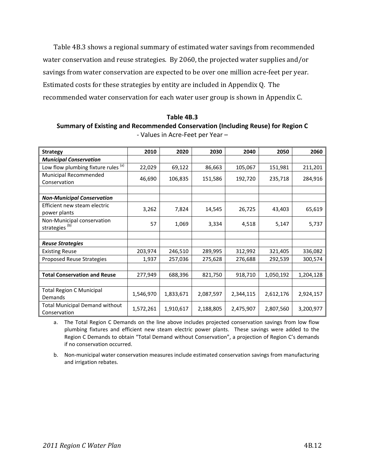Table 4B.3 shows a regional summary of estimated water savings from recommended water conservation and reuse strategies. By 2060, the projected water supplies and/or savings from water conservation are expected to be over one million acre-feet per year. Estimated costs for these strategies by entity are included in Appendix Q. The recommended water conservation for each water user group is shown in Appendix C.

**Table 4B.3 Summary of Existing and Recommended Conservation (Including Reuse) for Region C** ‐ Values in Acre‐Feet per Year –

| <b>Strategy</b>                                         | 2010      | 2020      | 2030      | 2040      | 2050      | 2060      |
|---------------------------------------------------------|-----------|-----------|-----------|-----------|-----------|-----------|
| <b>Municipal Conservation</b>                           |           |           |           |           |           |           |
| Low flow plumbing fixture rules (a)                     | 22,029    | 69,122    | 86,663    | 105,067   | 151,981   | 211,201   |
| Municipal Recommended<br>Conservation                   | 46,690    | 106,835   | 151,586   | 192,720   | 235,718   | 284,916   |
|                                                         |           |           |           |           |           |           |
| <b>Non-Municipal Conservation</b>                       |           |           |           |           |           |           |
| Efficient new steam electric<br>power plants            | 3,262     | 7,824     | 14,545    | 26,725    | 43,403    | 65,619    |
| Non-Municipal conservation<br>strategies <sup>(b)</sup> | 57        | 1,069     | 3,334     | 4,518     | 5,147     | 5,737     |
|                                                         |           |           |           |           |           |           |
| <b>Reuse Strategies</b>                                 |           |           |           |           |           |           |
| <b>Existing Reuse</b>                                   | 203,974   | 246,510   | 289,995   | 312,992   | 321,405   | 336,082   |
| <b>Proposed Reuse Strategies</b>                        | 1,937     | 257,036   | 275,628   | 276,688   | 292,539   | 300,574   |
|                                                         |           |           |           |           |           |           |
| <b>Total Conservation and Reuse</b>                     | 277,949   | 688,396   | 821,750   | 918,710   | 1,050,192 | 1,204,128 |
|                                                         |           |           |           |           |           |           |
| <b>Total Region C Municipal</b><br>Demands              | 1,546,970 | 1,833,671 | 2,087,597 | 2,344,115 | 2,612,176 | 2,924,157 |
| <b>Total Municipal Demand without</b><br>Conservation   | 1,572,261 | 1,910,617 | 2,188,805 | 2,475,907 | 2,807,560 | 3,200,977 |

a. The Total Region C Demands on the line above includes projected conservation savings from low flow plumbing fixtures and efficient new steam electric power plants. These savings were added to the Region C Demands to obtain "Total Demand without Conservation", a projection of Region C's demands if no conservation occurred.

b. Non‐municipal water conservation measures include estimated conservation savings from manufacturing and irrigation rebates.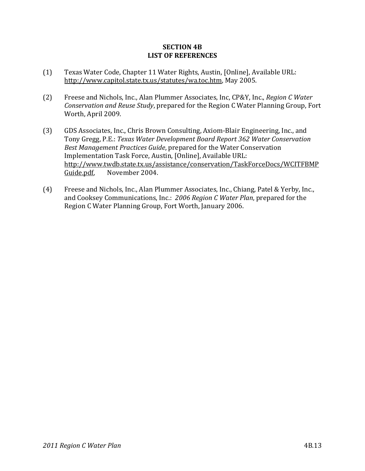#### **SECTION 4B LIST OF REFERENCES**

- (1) Texas Water Code, Chapter 11 Water Rights, Austin, [Online], Available URL: http://www.capitol.state.tx.us/statutes/wa.toc.htm, May 2005.
- (2) Freese and Nichols, Inc., Alan Plummer Associates, Inc, CP&Y, Inc., *Region C Water Conservation and Reuse Study*, prepared for the Region C Water Planning Group, Fort Worth, April 2009.
- (3) GDS Associates, Inc., Chris Brown Consulting, Axiom‐Blair Engineering, Inc., and Tony Gregg, P.E.: *Texas Water Development Board Report 362 Water Conservation Best Management Practices Guide*, prepared for the Water Conservation Implementation Task Force, Austin, [Online], Available URL: http://www.twdb.state.tx.us/assistance/conservation/TaskForceDocs/WCITFBMP Guide.pdf, November 2004.
- (4) Freese and Nichols, Inc., Alan Plummer Associates, Inc., Chiang, Patel & Yerby, Inc., and Cooksey Communications, Inc.: *2006 Region C Water Plan*, prepared for the Region C Water Planning Group, Fort Worth, January 2006.